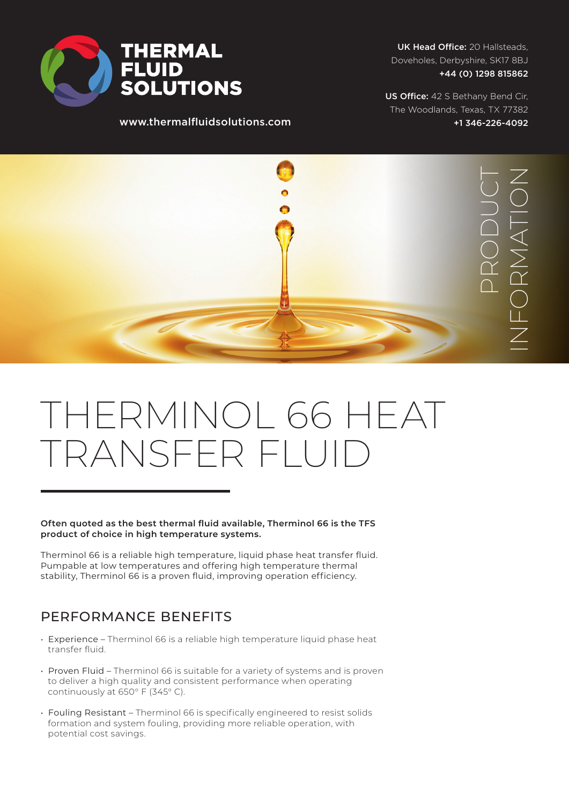

www.thermalfluidsolutions.com

UK Head Office: 20 Hallsteads, Doveholes, Derbyshire, SK17 8BJ +44 (0) 1298 815862

US Office: 42 S Bethany Bend Cir, The Woodlands, Texas, TX 77382 +1 346-226-4092



# THERMINOL 66 HEAT TRANSFER FLUI

**Often quoted as the best thermal fluid available, Therminol 66 is the TFS product of choice in high temperature systems.** 

Therminol 66 is a reliable high temperature, liquid phase heat transfer fluid. Pumpable at low temperatures and offering high temperature thermal stability, Therminol 66 is a proven fluid, improving operation efficiency.

### PERFORMANCE BENEFITS

- Experience Therminol 66 is a reliable high temperature liquid phase heat transfer fluid.
- Proven Fluid Therminol 66 is suitable for a variety of systems and is proven to deliver a high quality and consistent performance when operating continuously at 650° F (345° C).
- Fouling Resistant Therminol 66 is specifically engineered to resist solids formation and system fouling, providing more reliable operation, with potential cost savings.